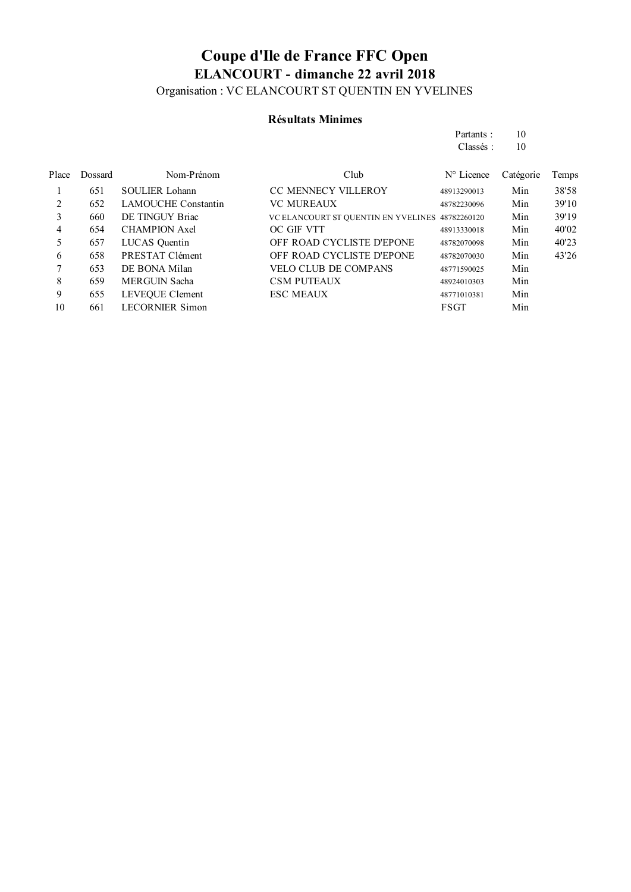Organisation : VC ELANCOURT ST QUENTIN EN YVELINES

## **Résultats Minimes**

| Partants: | 10 |
|-----------|----|
| Classés:  | 10 |

| Place | <b>Dossard</b> | Nom-Prénom                 | Club                                            | $N^{\circ}$ Licence | Catégorie | Temps |
|-------|----------------|----------------------------|-------------------------------------------------|---------------------|-----------|-------|
|       | 651            | <b>SOULIER Lohann</b>      | CC MENNECY VILLEROY                             | 48913290013         | Min       | 38'58 |
| 2     | 652            | <b>LAMOUCHE Constantin</b> | <b>VC MUREAUX</b>                               | 48782230096         | Min       | 39'10 |
| 3     | 660            | DE TINGUY Briac            | VC ELANCOURT ST QUENTIN EN YVELINES 48782260120 |                     | Min       | 39'19 |
| 4     | 654            | <b>CHAMPION Axel</b>       | OC GIF VTT                                      | 48913330018         | Min       | 40'02 |
|       | 657            | LUCAS Quentin              | OFF ROAD CYCLISTE D'EPONE                       | 48782070098         | Min       | 40'23 |
| 6     | 658            | PRESTAT Clément            | OFF ROAD CYCLISTE D'EPONE                       | 48782070030         | Min       | 43'26 |
|       | 653            | DE BONA Milan              | VELO CLUB DE COMPANS                            | 48771590025         | Min       |       |
| 8     | 659            | <b>MERGUIN Sacha</b>       | <b>CSM PUTEAUX</b>                              | 48924010303         | Min       |       |
| 9     | 655            | LEVEQUE Clement            | <b>ESC MEAUX</b>                                | 48771010381         | Min       |       |
| 10    | 661            | <b>LECORNIER Simon</b>     |                                                 | FSGT                | Min       |       |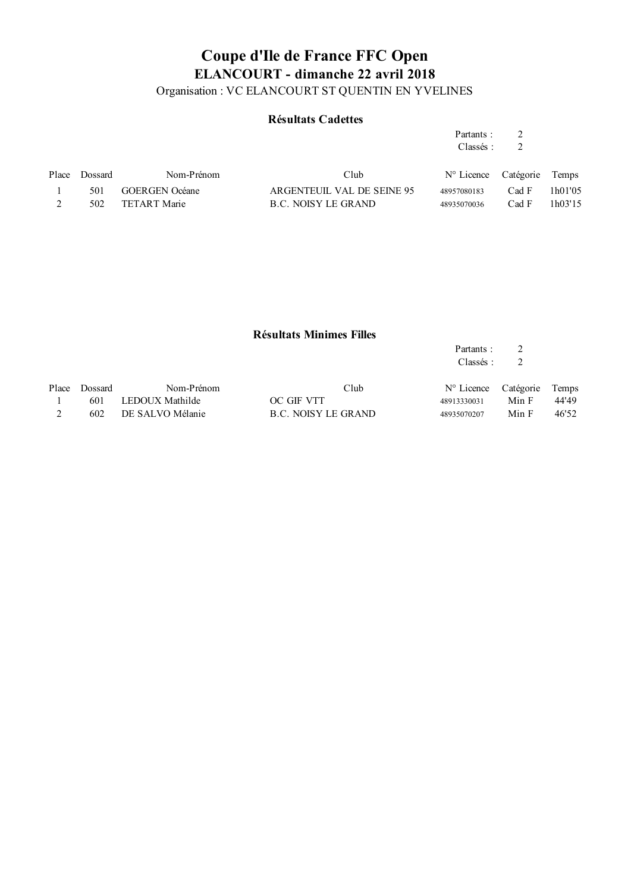Organisation : VC ELANCOURT ST QUENTIN EN YVELINES

## **Résultats Cadettes**

| Partants : |  |
|------------|--|
| Classés:   |  |

| Place Dossard | Nom-Prénom     | Club                       | $N^{\circ}$ Licence Catégorie Temps |       |                      |
|---------------|----------------|----------------------------|-------------------------------------|-------|----------------------|
| 501           | GOERGEN Océane | ARGENTEUIL VAL DE SEINE 95 | 48957080183                         | Cad F | 1 <sub>h01'05</sub>  |
| 502           | TETART Marie   | B.C. NOISY LE GRAND        | 48935070036                         | Cad F | 1 <sub>h</sub> 03'15 |
|               |                |                            |                                     |       |                      |

#### **Résultats Minimes Filles**

| Partants: | 2 |
|-----------|---|
| Classés:  | 2 |

| Place Dossard | Nom-Prénom           | Club                | N° Licence Catégorie Temps |       |       |
|---------------|----------------------|---------------------|----------------------------|-------|-------|
|               | 601 LEDOUX Mathilde  | OC GIF VTT          | 48913330031                | Min F | 44'49 |
|               | 602 DE SALVO Mélanie | B.C. NOISY LE GRAND | 48935070207                | Min F | 46'52 |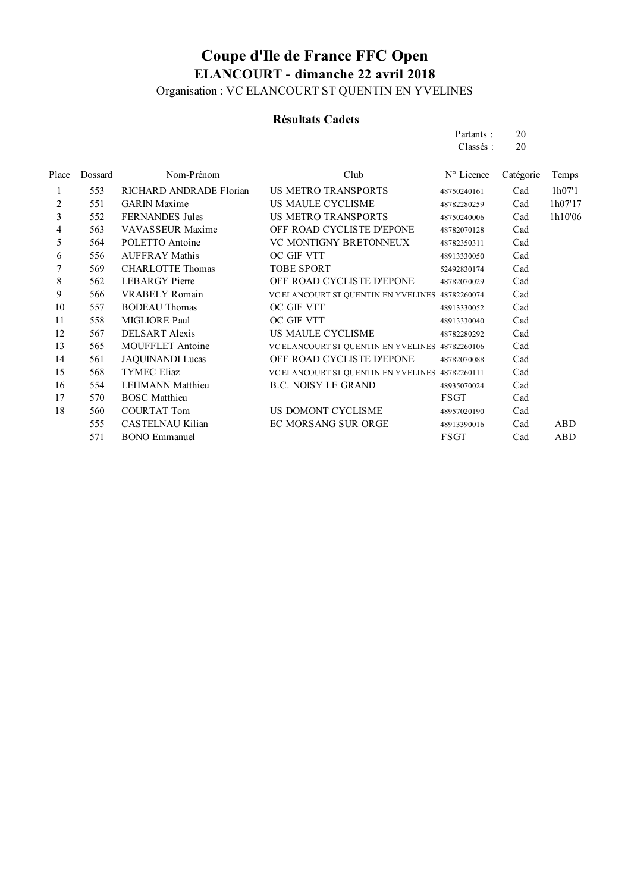Organisation : VC ELANCOURT ST QUENTIN EN YVELINES

## **Résultats Cadets**

| Partants: | 20 |
|-----------|----|
| Classés:  | 20 |

| Place          | Dossard | Nom-Prénom              | Club                                            | N° Licence  | Catégorie | Temps      |
|----------------|---------|-------------------------|-------------------------------------------------|-------------|-----------|------------|
| 1              | 553     | RICHARD ANDRADE Florian | US METRO TRANSPORTS                             | 48750240161 | Cad       | 1h07'1     |
| $\overline{2}$ | 551     | <b>GARIN</b> Maxime     | US MAULE CYCLISME                               | 48782280259 | Cad       | 1h07'17    |
| 3              | 552     | <b>FERNANDES</b> Jules  | US METRO TRANSPORTS                             | 48750240006 | Cad       | 1h10'06    |
| 4              | 563     | VAVASSEUR Maxime        | OFF ROAD CYCLISTE D'EPONE                       | 48782070128 | Cad       |            |
| 5              | 564     | POLETTO Antoine         | VC MONTIGNY BRETONNEUX                          | 48782350311 | Cad       |            |
| 6              | 556     | <b>AUFFRAY Mathis</b>   | OC GIF VTT                                      | 48913330050 | Cad       |            |
| 7              | 569     | <b>CHARLOTTE Thomas</b> | <b>TOBE SPORT</b>                               | 52492830174 | Cad       |            |
| 8              | 562     | <b>LEBARGY</b> Pierre   | OFF ROAD CYCLISTE D'EPONE                       | 48782070029 | Cad       |            |
| 9              | 566     | <b>VRABELY Romain</b>   | VC ELANCOURT ST QUENTIN EN YVELINES 48782260074 |             | Cad       |            |
| 10             | 557     | <b>BODEAU</b> Thomas    | OC GIF VTT                                      | 48913330052 | Cad       |            |
| 11             | 558     | MIGLIORE Paul           | OC GIF VTT                                      | 48913330040 | Cad       |            |
| 12             | 567     | <b>DELSART</b> Alexis   | US MAULE CYCLISME                               | 48782280292 | Cad       |            |
| 13             | 565     | <b>MOUFFLET</b> Antoine | VC ELANCOURT ST QUENTIN EN YVELINES 48782260106 |             | Cad       |            |
| 14             | 561     | <b>JAQUINANDI Lucas</b> | OFF ROAD CYCLISTE D'EPONE                       | 48782070088 | Cad       |            |
| 15             | 568     | <b>TYMEC Eliaz</b>      | VC ELANCOURT ST QUENTIN EN YVELINES 48782260111 |             | Cad       |            |
| 16             | 554     | <b>LEHMANN Matthieu</b> | <b>B.C. NOISY LE GRAND</b>                      | 48935070024 | Cad       |            |
| 17             | 570     | <b>BOSC</b> Matthieu    |                                                 | <b>FSGT</b> | Cad       |            |
| 18             | 560     | <b>COURTAT Tom</b>      | US DOMONT CYCLISME                              | 48957020190 | Cad       |            |
|                | 555     | CASTELNAU Kilian        | EC MORSANG SUR ORGE                             | 48913390016 | Cad       | ABD        |
|                | 571     | <b>BONO</b> Emmanuel    |                                                 | <b>FSGT</b> | Cad       | <b>ABD</b> |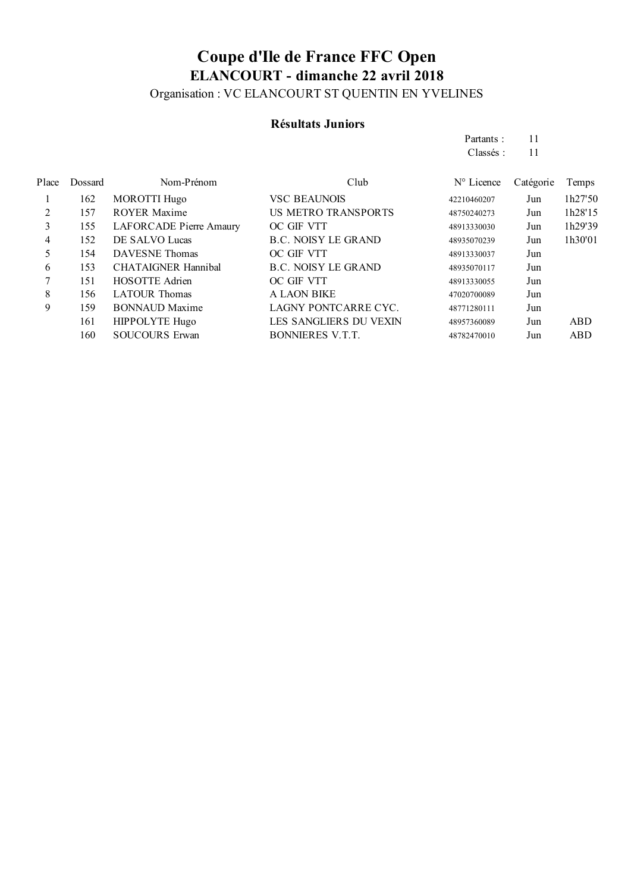Organisation : VC ELANCOURT ST QUENTIN EN YVELINES

## **Résultats Juniors**

Partants : 11 Classés : 11

| Dossard | Nom-Prénom              | Club                       | $N^{\circ}$ Licence | Catégorie | Temps      |
|---------|-------------------------|----------------------------|---------------------|-----------|------------|
| 162     | <b>MOROTTI Hugo</b>     | <b>VSC BEAUNOIS</b>        | 42210460207         | Jun       | 1h27'50    |
| 157     | <b>ROYER Maxime</b>     | <b>US METRO TRANSPORTS</b> | 48750240273         | Jun       | 1h28'15    |
| 155     | LAFORCADE Pierre Amaury | OC GIF VTT                 | 48913330030         | Jun       | 1h29'39    |
| 152     | DE SALVO Lucas          | <b>B.C. NOISY LE GRAND</b> | 48935070239         | Jun       | 1h30'01    |
| 154     | DAVESNE Thomas          | OC GIF VTT                 | 48913330037         | Jun       |            |
| 153     | CHATAIGNER Hannibal     | <b>B.C. NOISY LE GRAND</b> | 48935070117         | Jun       |            |
| 151     | <b>HOSOTTE Adrien</b>   | OC GIF VTT                 | 48913330055         | Jun       |            |
| 156     | LATOUR Thomas           | A LAON BIKE                | 47020700089         | Jun       |            |
| 159     | <b>BONNAUD Maxime</b>   | LAGNY PONTCARRE CYC.       | 48771280111         | Jun       |            |
| 161     | HIPPOLYTE Hugo          | LES SANGLIERS DU VEXIN     | 48957360089         | Jun       | <b>ABD</b> |
| 160     | <b>SOUCOURS Erwan</b>   | <b>BONNIERES V.T.T.</b>    | 48782470010         | Jun       | <b>ABD</b> |
|         |                         |                            |                     |           |            |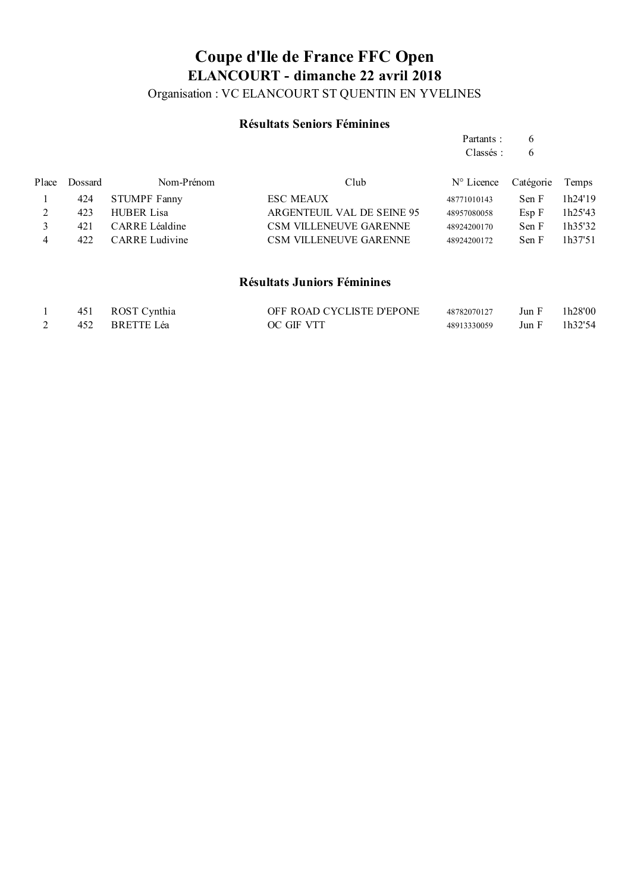Organisation : VC ELANCOURT ST QUENTIN EN YVELINES

## **Résultats Seniors Féminines**

|       |         |                       |                               | Partants:           | 6         |         |
|-------|---------|-----------------------|-------------------------------|---------------------|-----------|---------|
|       |         |                       |                               | Classés:            | 6         |         |
| Place | Dossard | Nom-Prénom            | Club                          | $N^{\circ}$ Licence | Catégorie | Temps   |
|       | 424     | <b>STUMPF Fanny</b>   | <b>ESC MEAUX</b>              | 48771010143         | Sen F     | 1h24'19 |
| 2     | 423     | <b>HUBER Lisa</b>     | ARGENTEUIL VAL DE SEINE 95    | 48957080058         | Esp F     | 1h25'43 |
| 3     | 421     | CARRE Léaldine        | <b>CSM VILLENEUVE GARENNE</b> | 48924200170         | Sen F     | 1h35'32 |
| 4     | 422     | <b>CARRE</b> Ludivine | <b>CSM VILLENEUVE GARENNE</b> | 48924200172         | Sen F     | 1h37'51 |
|       |         |                       |                               |                     |           |         |
|       |         |                       |                               |                     |           |         |

### **Résultats Juniors Féminines**

|  | 451 ROST Cynthia | OFF ROAD CYCLISTE D'EPONE | 48782070127 | Jun F                             | 1h28'00 |
|--|------------------|---------------------------|-------------|-----------------------------------|---------|
|  | 452 BRETTE Léa   | OC GIF VTT                | 48913330059 | $\frac{1}{2}$ Jun F $\frac{1}{2}$ | 1h32'54 |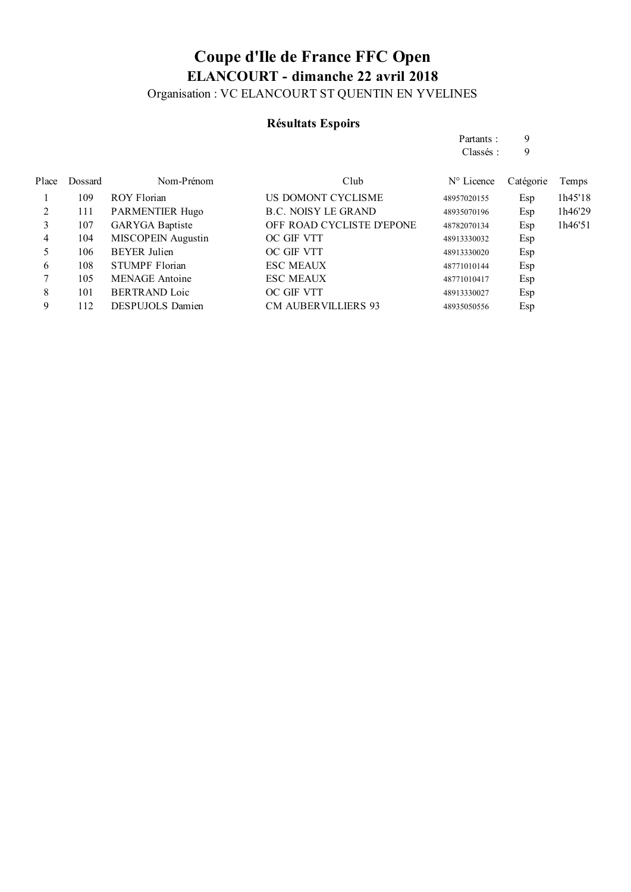Organisation : VC ELANCOURT ST QUENTIN EN YVELINES

## **Résultats Espoirs**

|       |         |                           |                                  | Partants:           | 9         |         |
|-------|---------|---------------------------|----------------------------------|---------------------|-----------|---------|
|       |         |                           |                                  | Classés:            | 9         |         |
| Place | Dossard | Nom-Prénom                | Club                             | $N^{\circ}$ Licence | Catégorie | Temps   |
|       | 109     | ROY Florian               | US DOMONT CYCLISME               | 48957020155         | Esp       | 1h45'18 |
| 2     | 111     | <b>PARMENTIER Hugo</b>    | <b>B.C. NOISY LE GRAND</b>       | 48935070196         | Esp       | 1h46'29 |
| 3     | 107     | <b>GARYGA</b> Baptiste    | <b>OFF ROAD CYCLISTE D'EPONE</b> | 48782070134         | Esp       | 1h46'51 |
| 4     | 104     | <b>MISCOPEIN</b> Augustin | OC GIF VTT                       | 48913330032         | Esp       |         |
| 5     | 106     | <b>BEYER</b> Julien       | OC GIF VTT                       | 48913330020         | Esp       |         |
| 6     | 108     | <b>STUMPF Florian</b>     | <b>ESC MEAUX</b>                 | 48771010144         | Esp       |         |
|       | 105     | <b>MENAGE</b> Antoine     | <b>ESC MEAUX</b>                 | 48771010417         | Esp       |         |
| 8     | 101     | <b>BERTRAND Loic</b>      | OC GIF VTT                       | 48913330027         | Esp       |         |
| 9     | 112     | DESPUJOLS Damien          | <b>CM AUBERVILLIERS 93</b>       | 48935050556         | Esp       |         |
|       |         |                           |                                  |                     |           |         |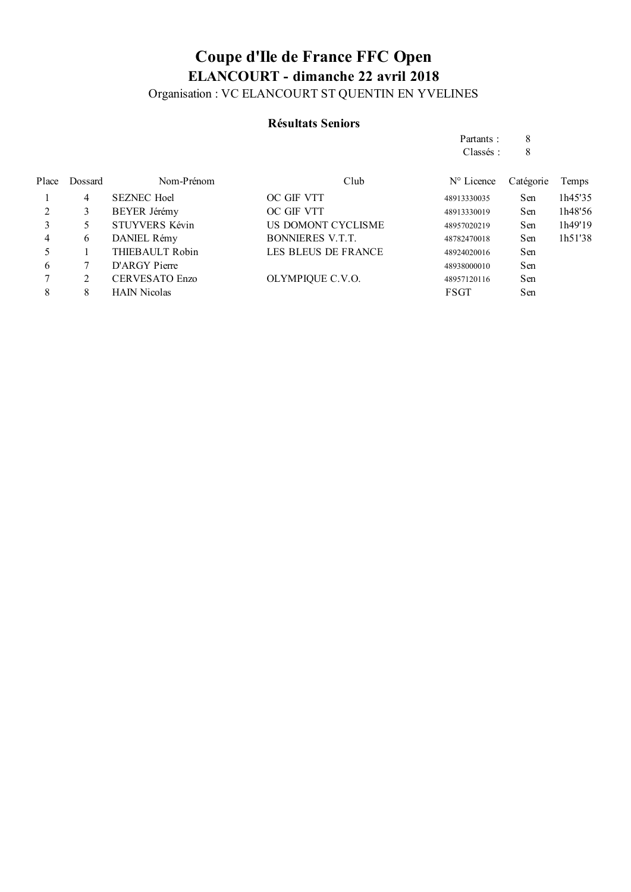## **Coupe d'Ile de France FFC Open ELANCOURT - dimanche 22 avril 2018** Organisation : VC ELANCOURT ST QUENTIN EN YVELINES

### **Résultats Seniors**

|                |         |                       |                            | Partants:           | 8         |         |
|----------------|---------|-----------------------|----------------------------|---------------------|-----------|---------|
|                |         |                       |                            | Classés:            | 8         |         |
| Place          | Dossard | Nom-Prénom            | Club                       | $N^{\circ}$ Licence | Catégorie | Temps   |
|                | 4       | <b>SEZNEC Hoel</b>    | OC GIF VTT                 | 48913330035         | Sen       | 1h45'35 |
| $\overline{2}$ | 3       | BEYER Jérémy          | OC GIF VTT                 | 48913330019         | Sen       | 1h48'56 |
| 3              | 5       | <b>STUYVERS Kévin</b> | US DOMONT CYCLISME         | 48957020219         | Sen       | 1h49'19 |
| 4              | 6       | DANIEL Rémy           | <b>BONNIERES V.T.T.</b>    | 48782470018         | Sen       | 1h51'38 |
| 5              |         | THIEBAULT Robin       | <b>LES BLEUS DE FRANCE</b> | 48924020016         | Sen       |         |
| 6              | 7       | D'ARGY Pierre         |                            | 48938000010         | Sen       |         |
|                | 2       | <b>CERVESATO Enzo</b> | OLYMPIQUE C.V.O.           | 48957120116         | Sen       |         |
| 8              | 8       | <b>HAIN</b> Nicolas   |                            | <b>FSGT</b>         | Sen       |         |
|                |         |                       |                            |                     |           |         |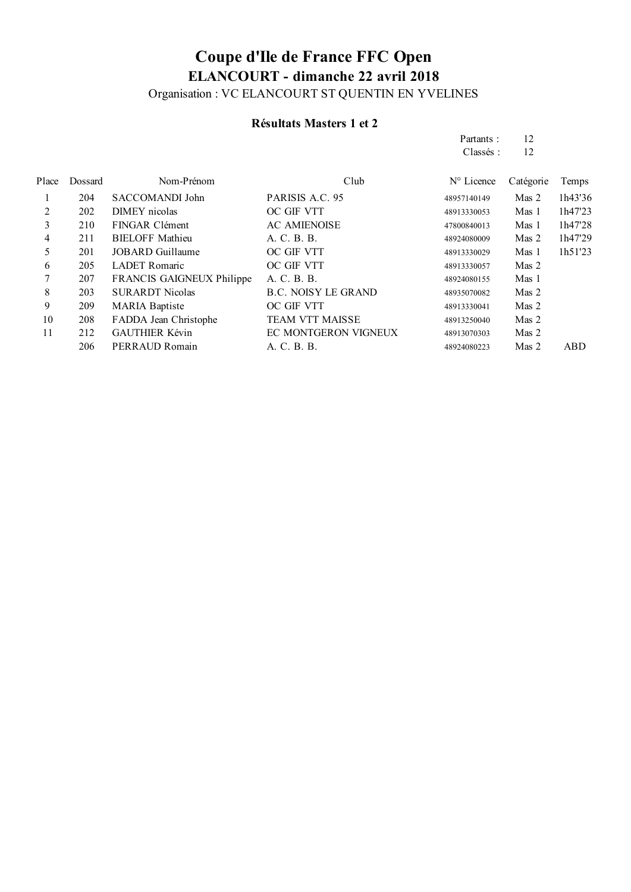# Organisation : VC ELANCOURT ST QUENTIN EN YVELINES

## **Résultats Masters 1 et 2**

|       |         |                           |                            | Partants:           | 12        |         |
|-------|---------|---------------------------|----------------------------|---------------------|-----------|---------|
|       |         |                           |                            | Classés:            | 12        |         |
| Place | Dossard | Nom-Prénom                | Club                       | $N^{\circ}$ Licence | Catégorie | Temps   |
| 1     | 204     | SACCOMANDI John           | PARISIS A.C. 95            | 48957140149         | Mas 2     | 1h43'36 |
| 2     | 202     | DIMEY nicolas             | OC GIF VTT                 | 48913330053         | Mas 1     | 1h47'23 |
| 3     | 210     | FINGAR Clément            | <b>AC AMIENOISE</b>        | 47800840013         | Mas 1     | 1h47'28 |
| 4     | 211     | <b>BIELOFF Mathieu</b>    | A. C. B. B.                | 48924080009         | Mas 2     | 1h47'29 |
| 5     | 201     | JOBARD Guillaume          | OC GIF VTT                 | 48913330029         | Mas 1     | 1h51'23 |
| 6     | 205     | <b>LADET</b> Romaric      | OC GIF VTT                 | 48913330057         | Mas 2     |         |
|       | 207     | FRANCIS GAIGNEUX Philippe | A. C. B. B.                | 48924080155         | Mas 1     |         |
| 8     | 203     | <b>SURARDT Nicolas</b>    | <b>B.C. NOISY LE GRAND</b> | 48935070082         | Mas 2     |         |
| 9     | 209     | <b>MARIA Baptiste</b>     | OC GIF VTT                 | 48913330041         | Mas 2     |         |
| 10    | 208     | FADDA Jean Christophe     | <b>TEAM VTT MAISSE</b>     | 48913250040         | Mas 2     |         |
| 11    | 212     | <b>GAUTHIER Kévin</b>     | EC MONTGERON VIGNEUX       | 48913070303         | Mas 2     |         |
|       | 206     | PERRAUD Romain            | A. C. B. B.                | 48924080223         | Mas 2     | ABD.    |
|       |         |                           |                            |                     |           |         |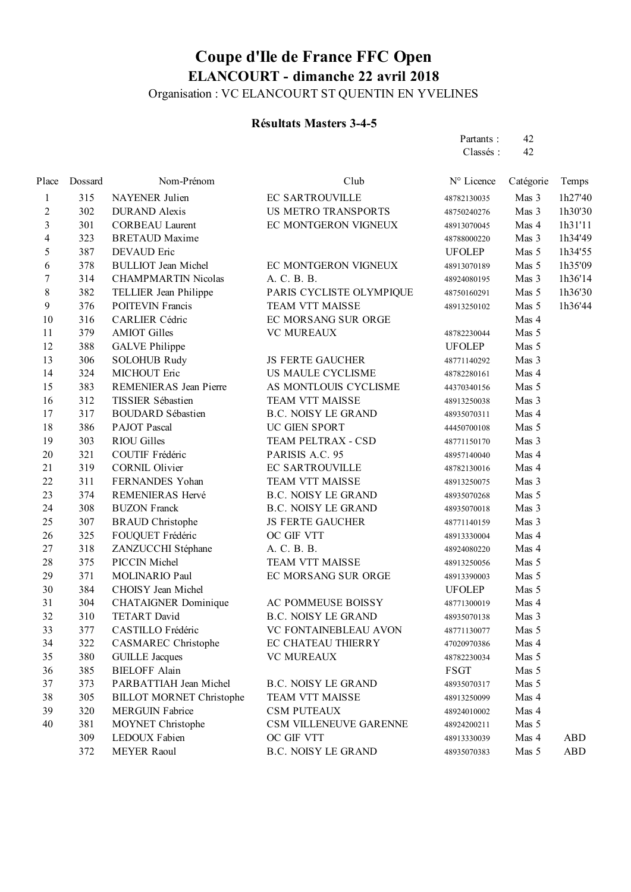## **Coupe d'Ile de France FFC Open ELANCOURT - dimanche 22 avril 2018** Organisation : VC ELANCOURT ST QUENTIN EN YVELINES

### **Résultats Masters 3-4-5**

| Partants: | 42 |
|-----------|----|
| Classés:  | 42 |
|           |    |

| Place          | Dossard | Nom-Prénom                      | Club                       | N° Licence    | Catégorie | Temps      |
|----------------|---------|---------------------------------|----------------------------|---------------|-----------|------------|
| 1              | 315     | <b>NAYENER</b> Julien           | EC SARTROUVILLE            | 48782130035   | Mas 3     | 1h27'40    |
| $\overline{c}$ | 302     | <b>DURAND</b> Alexis            | <b>US METRO TRANSPORTS</b> | 48750240276   | Mas 3     | 1h30'30    |
| 3              | 301     | <b>CORBEAU Laurent</b>          | EC MONTGERON VIGNEUX       | 48913070045   | Mas 4     | 1h31'11    |
| $\overline{4}$ | 323     | <b>BRETAUD Maxime</b>           |                            | 48788000220   | Mas 3     | 1h34'49    |
| 5              | 387     | DEVAUD Eric                     |                            | <b>UFOLEP</b> | Mas 5     | 1h34'55    |
| 6              | 378     | <b>BULLIOT</b> Jean Michel      | EC MONTGERON VIGNEUX       | 48913070189   | Mas 5     | 1h35'09    |
| $\overline{7}$ | 314     | <b>CHAMPMARTIN Nicolas</b>      | A. C. B. B.                | 48924080195   | Mas 3     | 1h36'14    |
| $\,$ 8 $\,$    | 382     | TELLIER Jean Philippe           | PARIS CYCLISTE OLYMPIQUE   | 48750160291   | Mas 5     | 1h36'30    |
| 9              | 376     | <b>POITEVIN Francis</b>         | TEAM VTT MAISSE            | 48913250102   | Mas 5     | 1h36'44    |
| $10\,$         | 316     | <b>CARLIER Cédric</b>           | EC MORSANG SUR ORGE        |               | Mas 4     |            |
| $11\,$         | 379     | <b>AMIOT Gilles</b>             | <b>VC MUREAUX</b>          | 48782230044   | Mas 5     |            |
| 12             | 388     | <b>GALVE Philippe</b>           |                            | <b>UFOLEP</b> | Mas 5     |            |
| 13             | 306     | <b>SOLOHUB Rudy</b>             | <b>JS FERTE GAUCHER</b>    | 48771140292   | Mas 3     |            |
| 14             | 324     | MICHOUT Eric                    | US MAULE CYCLISME          | 48782280161   | Mas 4     |            |
| 15             | 383     | REMENIERAS Jean Pierre          | AS MONTLOUIS CYCLISME      | 44370340156   | Mas 5     |            |
| 16             | 312     | TISSIER Sébastien               | TEAM VTT MAISSE            | 48913250038   | Mas 3     |            |
| 17             | 317     | <b>BOUDARD Sébastien</b>        | <b>B.C. NOISY LE GRAND</b> | 48935070311   | Mas 4     |            |
| 18             | 386     | <b>PAJOT Pascal</b>             | UC GIEN SPORT              | 44450700108   | Mas 5     |            |
| 19             | 303     | <b>RIOU Gilles</b>              | TEAM PELTRAX - CSD         | 48771150170   | Mas 3     |            |
| 20             | 321     | COUTIF Frédéric                 | PARISIS A.C. 95            | 48957140040   | Mas 4     |            |
| 21             | 319     | <b>CORNIL Olivier</b>           | EC SARTROUVILLE            | 48782130016   | Mas 4     |            |
| 22             | 311     | FERNANDES Yohan                 | TEAM VTT MAISSE            | 48913250075   | Mas 3     |            |
| 23             | 374     | REMENIERAS Hervé                | <b>B.C. NOISY LE GRAND</b> | 48935070268   | Mas 5     |            |
| 24             | 308     | <b>BUZON Franck</b>             | <b>B.C. NOISY LE GRAND</b> | 48935070018   | Mas 3     |            |
| 25             | 307     | <b>BRAUD</b> Christophe         | <b>JS FERTE GAUCHER</b>    | 48771140159   | Mas 3     |            |
| 26             | 325     | FOUQUET Frédéric                | OC GIF VTT                 | 48913330004   | Mas 4     |            |
| 27             | 318     | ZANZUCCHI Stéphane              | A. C. B. B.                | 48924080220   | Mas 4     |            |
| 28             | 375     | PICCIN Michel                   | TEAM VTT MAISSE            | 48913250056   | Mas 5     |            |
| 29             | 371     | <b>MOLINARIO Paul</b>           | EC MORSANG SUR ORGE        | 48913390003   | Mas 5     |            |
| 30             | 384     | CHOISY Jean Michel              |                            | <b>UFOLEP</b> | Mas 5     |            |
| 31             | 304     | <b>CHATAIGNER Dominique</b>     | AC POMMEUSE BOISSY         | 48771300019   | Mas 4     |            |
| 32             | 310     | TETART David                    | <b>B.C. NOISY LE GRAND</b> | 48935070138   | Mas 3     |            |
| 33             | 377     | CASTILLO Frédéric               | VC FONTAINEBLEAU AVON      | 48771130077   | Mas 5     |            |
| 34             | 322     | <b>CASMAREC</b> Christophe      | EC CHATEAU THIERRY         | 47020970386   | Mas 4     |            |
| 35             | 380     | <b>GUILLE Jacques</b>           | <b>VC MUREAUX</b>          | 48782230034   | Mas 5     |            |
| 36             | 385     | <b>BIELOFF Alain</b>            |                            | FSGT          | Mas 5     |            |
| 37             | 373     | PARBATTIAH Jean Michel          | <b>B.C. NOISY LE GRAND</b> | 48935070317   | Mas 5     |            |
| 38             | 305     | <b>BILLOT MORNET Christophe</b> | TEAM VTT MAISSE            | 48913250099   | Mas 4     |            |
| 39             | 320     | <b>MERGUIN Fabrice</b>          | <b>CSM PUTEAUX</b>         | 48924010002   | Mas 4     |            |
| 40             | 381     | MOYNET Christophe               | CSM VILLENEUVE GARENNE     | 48924200211   | Mas 5     |            |
|                | 309     | LEDOUX Fabien                   | OC GIF VTT                 | 48913330039   | Mas 4     | <b>ABD</b> |
|                | 372     | <b>MEYER Raoul</b>              | <b>B.C. NOISY LE GRAND</b> | 48935070383   | Mas 5     | <b>ABD</b> |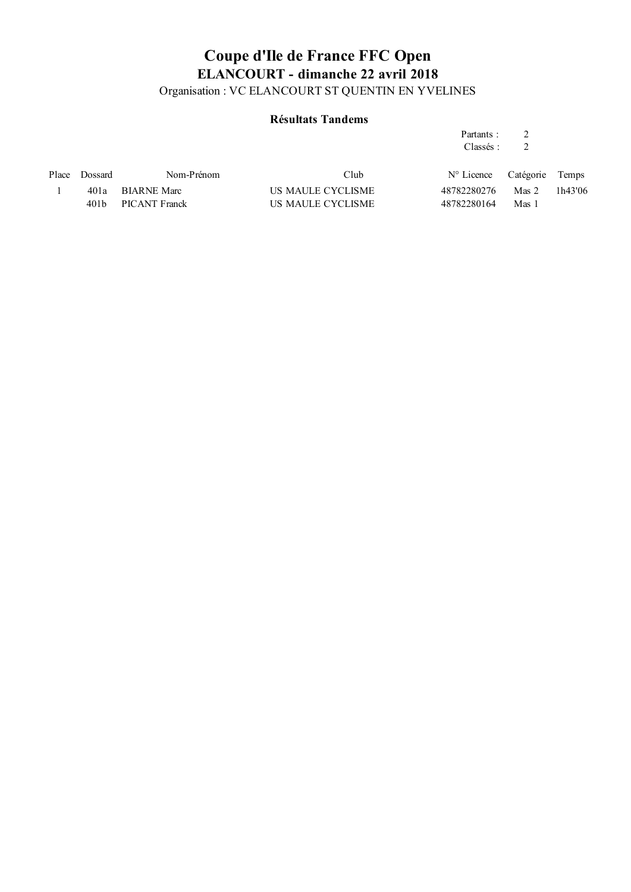Organisation : VC ELANCOURT ST QUENTIN EN YVELINES

## **Résultats Tandems**

Partants : 2 Classés : 2

| Place Dossard | Nom-Prénom         | Club              | $N^{\circ}$ Licence Catégorie Temps |       |         |
|---------------|--------------------|-------------------|-------------------------------------|-------|---------|
|               | 401a BIARNE Marc   | US MAULE CYCLISME | 48782280276 Mas 2                   |       | 1h43'06 |
|               | 401b PICANT Franck | US MAULE CYCLISME | 48782280164                         | Mas 1 |         |